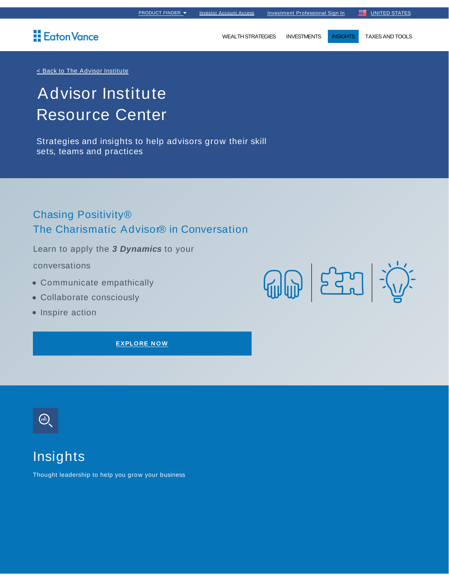### Eaton Vance

WEALTH STRATEGIES INVESTMENTS INSIGHTS TAXES AND TOOLS

#### < Back to The Advisor Institute

# Advisor Institute Resource Center

Strategies and insights to help advisors grow their skill sets, teams and practices

### Chasing Positivity® The Charismatic Advisor® in Conversation

Learn to apply the **3 Dynamics** to your

#### conversations

- Communicate empathically
- Collaborate consciously
- Inspire action

**EXPLORE NO W**



## Insights

Thought leadership to help you grow your business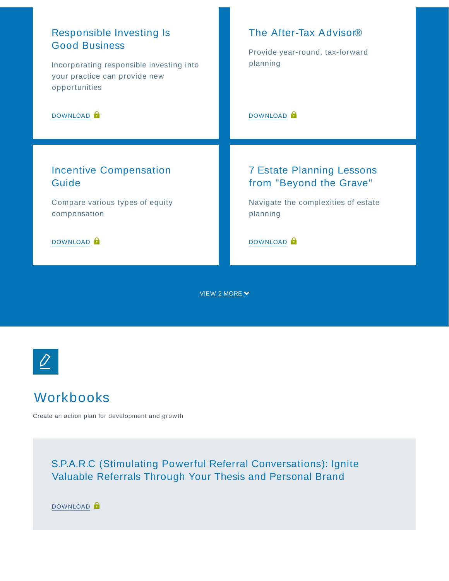



## Workbooks

Create an action plan for development and growth

S.P.A.R.C (Stimulating Powerful Referral Conversations): Ignite Valuable Referrals Through Your Thesis and Personal Brand

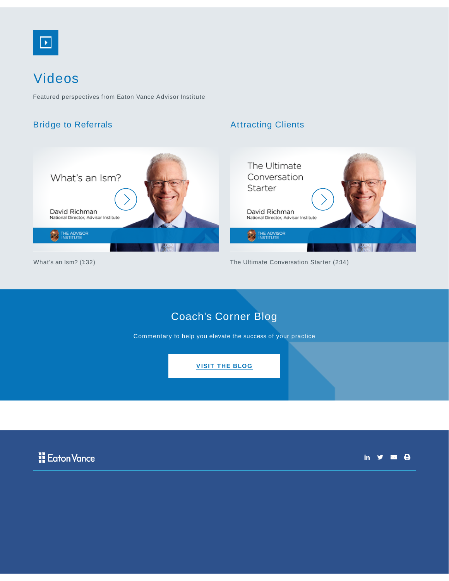

## Videos

Featured perspectives from Eaton Vance Advisor Institute

#### Bridge to Referrals

#### Attracting Clients



What's an Ism? (1:32)



The Ultimate Conversation Starter (2:14)

### Coach's Corner Blog

Commentary to help you elevate the success of your practice

**VISIT THE BLOG**



in  $y = 0$